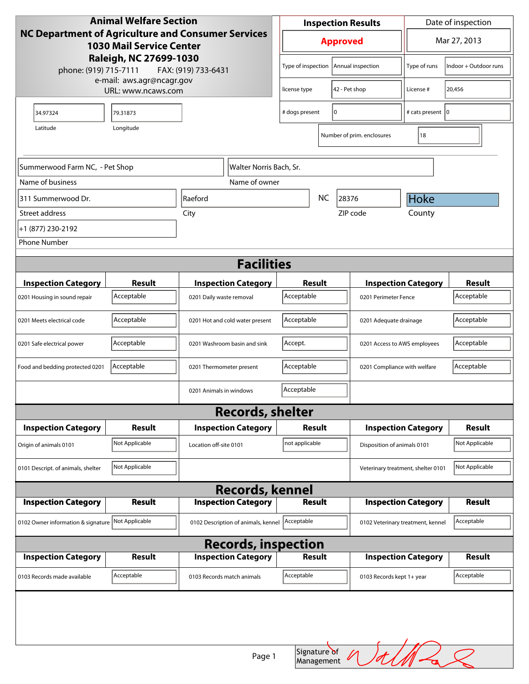| <b>Animal Welfare Section</b>                                                                |                |                                     |                | <b>Inspection Results</b>              | Date of inspection                |                       |  |  |
|----------------------------------------------------------------------------------------------|----------------|-------------------------------------|----------------|----------------------------------------|-----------------------------------|-----------------------|--|--|
| <b>NC Department of Agriculture and Consumer Services</b><br><b>1030 Mail Service Center</b> |                |                                     |                | <b>Approved</b>                        | Mar 27, 2013                      |                       |  |  |
| Raleigh, NC 27699-1030<br>phone: (919) 715-7111<br>FAX: (919) 733-6431                       |                |                                     |                | Type of inspection   Annual inspection | Type of runs                      | Indoor + Outdoor runs |  |  |
| e-mail: aws.agr@ncagr.gov<br>URL: www.ncaws.com                                              |                |                                     | license type   | 42 - Pet shop                          |                                   | 20,456                |  |  |
| 34.97324                                                                                     | 79.31873       |                                     | # dogs present | 0                                      |                                   | # cats present  0     |  |  |
| Longitude<br>Latitude                                                                        |                |                                     |                | Number of prim. enclosures             | 18                                |                       |  |  |
|                                                                                              |                |                                     |                |                                        |                                   |                       |  |  |
| Summerwood Farm NC, - Pet Shop                                                               |                | Walter Norris Bach, Sr.             |                |                                        |                                   |                       |  |  |
| Name of business                                                                             |                | Name of owner                       |                |                                        |                                   |                       |  |  |
| 311 Summerwood Dr.                                                                           |                | Raeford                             |                | <b>NC</b><br>28376                     |                                   | <b>Hoke</b>           |  |  |
| Street address                                                                               |                | City                                |                | ZIP code                               | County                            |                       |  |  |
| +1 (877) 230-2192                                                                            |                |                                     |                |                                        |                                   |                       |  |  |
| <b>Phone Number</b>                                                                          |                |                                     |                |                                        |                                   |                       |  |  |
| <b>Facilities</b>                                                                            |                |                                     |                |                                        |                                   |                       |  |  |
| <b>Inspection Category</b>                                                                   | Result         | <b>Inspection Category</b>          | Result         |                                        | <b>Inspection Category</b>        |                       |  |  |
| 0201 Housing in sound repair                                                                 | Acceptable     | 0201 Daily waste removal            | Acceptable     | 0201 Perimeter Fence                   |                                   | Acceptable            |  |  |
| 0201 Meets electrical code                                                                   | Acceptable     | 0201 Hot and cold water present     | Acceptable     | 0201 Adequate drainage                 |                                   | Acceptable            |  |  |
| 0201 Safe electrical power                                                                   | Acceptable     | 0201 Washroom basin and sink        | Accept.        | 0201 Access to AWS employees           |                                   | Acceptable            |  |  |
| Food and bedding protected 0201                                                              | Acceptable     | 0201 Thermometer present            | Acceptable     | 0201 Compliance with welfare           |                                   | Acceptable            |  |  |
|                                                                                              |                | 0201 Animals in windows             | Acceptable     |                                        |                                   |                       |  |  |
|                                                                                              |                | <b>Records, shelter</b>             |                |                                        |                                   |                       |  |  |
| <b>Inspection Category</b>                                                                   | Result         | <b>Inspection Category</b>          | <b>Result</b>  |                                        | <b>Inspection Category</b>        | <b>Result</b>         |  |  |
| Origin of animals 0101                                                                       | Not Applicable | Location off-site 0101              | not applicable | Disposition of animals 0101            |                                   | Not Applicable        |  |  |
| 0101 Descript. of animals, shelter                                                           | Not Applicable |                                     |                | Veterinary treatment, shelter 0101     |                                   | Not Applicable        |  |  |
| <b>Records, kennel</b>                                                                       |                |                                     |                |                                        |                                   |                       |  |  |
| <b>Inspection Category</b>                                                                   | <b>Result</b>  | <b>Inspection Category</b>          | <b>Result</b>  |                                        | <b>Inspection Category</b>        |                       |  |  |
| 0102 Owner information & signature                                                           | Not Applicable | 0102 Description of animals, kennel | Acceptable     |                                        | 0102 Veterinary treatment, kennel | Acceptable            |  |  |
| <b>Records, inspection</b>                                                                   |                |                                     |                |                                        |                                   |                       |  |  |
| <b>Inspection Category</b>                                                                   | <b>Result</b>  | <b>Inspection Category</b>          | <b>Result</b>  |                                        | <b>Inspection Category</b>        | <b>Result</b>         |  |  |
| 0103 Records made available                                                                  | Acceptable     | 0103 Records match animals          | Acceptable     | 0103 Records kept 1+ year              |                                   | Acceptable            |  |  |
|                                                                                              |                | Page 1                              | Signature of   |                                        |                                   |                       |  |  |
|                                                                                              |                |                                     | Management     |                                        |                                   |                       |  |  |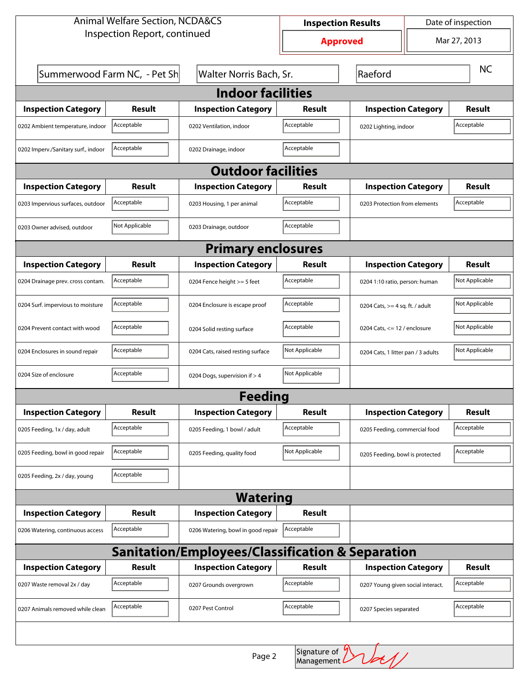| <b>Animal Welfare Section, NCDA&amp;CS</b>       |                              |                                    | <b>Inspection Results</b> |                                     | Date of inspection             |                |  |  |
|--------------------------------------------------|------------------------------|------------------------------------|---------------------------|-------------------------------------|--------------------------------|----------------|--|--|
| Inspection Report, continued                     |                              |                                    | <b>Approved</b>           |                                     |                                | Mar 27, 2013   |  |  |
|                                                  | Summerwood Farm NC, - Pet Sh | Walter Norris Bach, Sr.            | Raeford                   |                                     |                                | <b>NC</b>      |  |  |
| <b>Indoor facilities</b>                         |                              |                                    |                           |                                     |                                |                |  |  |
| <b>Inspection Category</b>                       | Result                       | <b>Inspection Category</b>         | Result                    | <b>Inspection Category</b>          |                                | Result         |  |  |
| 0202 Ambient temperature, indoor                 | Acceptable                   | 0202 Ventilation, indoor           | Acceptable                | Acceptable<br>0202 Lighting, indoor |                                |                |  |  |
| 0202 Imperv./Sanitary surf., indoor              | Acceptable                   | 0202 Drainage, indoor              | Acceptable                |                                     |                                |                |  |  |
| <b>Outdoor facilities</b>                        |                              |                                    |                           |                                     |                                |                |  |  |
| <b>Inspection Category</b>                       | Result                       | <b>Inspection Category</b>         | Result                    | <b>Inspection Category</b>          |                                | Result         |  |  |
| 0203 Impervious surfaces, outdoor                | Acceptable                   | 0203 Housing, 1 per animal         | Acceptable                | 0203 Protection from elements       |                                | Acceptable     |  |  |
| 0203 Owner advised, outdoor                      | Not Applicable               | 0203 Drainage, outdoor             | Acceptable                |                                     |                                |                |  |  |
| <b>Primary enclosures</b>                        |                              |                                    |                           |                                     |                                |                |  |  |
| <b>Inspection Category</b>                       | Result                       | <b>Inspection Category</b>         | Result                    | <b>Inspection Category</b>          |                                | Result         |  |  |
| 0204 Drainage prev. cross contam.                | Acceptable                   | 0204 Fence height >= 5 feet        | Acceptable                | 0204 1:10 ratio, person: human      |                                | Not Applicable |  |  |
| 0204 Surf. impervious to moisture                | Acceptable                   | 0204 Enclosure is escape proof     | Acceptable                | 0204 Cats, $>=$ 4 sq. ft. / adult   |                                | Not Applicable |  |  |
| 0204 Prevent contact with wood                   | Acceptable                   | 0204 Solid resting surface         | Acceptable                |                                     | 0204 Cats, $<= 12$ / enclosure |                |  |  |
| 0204 Enclosures in sound repair                  | Acceptable                   | 0204 Cats, raised resting surface  | Not Applicable            | 0204 Cats, 1 litter pan / 3 adults  |                                | Not Applicable |  |  |
| 0204 Size of enclosure                           | Acceptable                   | 0204 Dogs, supervision if > 4      | Not Applicable            |                                     |                                |                |  |  |
| <b>Feeding</b>                                   |                              |                                    |                           |                                     |                                |                |  |  |
| <b>Inspection Category</b>                       | <b>Result</b>                | <b>Inspection Category</b>         | <b>Result</b>             | <b>Inspection Category</b>          |                                | <b>Result</b>  |  |  |
| 0205 Feeding, 1x / day, adult                    | Acceptable                   | 0205 Feeding, 1 bowl / adult       | Acceptable                | 0205 Feeding, commercial food       |                                | Acceptable     |  |  |
| 0205 Feeding, bowl in good repair                | Acceptable                   | 0205 Feeding, quality food         | Not Applicable            | 0205 Feeding, bowl is protected     |                                | Acceptable     |  |  |
| 0205 Feeding, 2x / day, young                    | Acceptable                   |                                    |                           |                                     |                                |                |  |  |
|                                                  |                              | <b>Watering</b>                    |                           |                                     |                                |                |  |  |
| <b>Inspection Category</b>                       | Result                       | <b>Inspection Category</b>         | <b>Result</b>             |                                     |                                |                |  |  |
| 0206 Watering, continuous access                 | Acceptable                   | 0206 Watering, bowl in good repair | Acceptable                |                                     |                                |                |  |  |
| Sanitation/Employees/Classification & Separation |                              |                                    |                           |                                     |                                |                |  |  |
| <b>Inspection Category</b>                       | Result                       | <b>Inspection Category</b>         | <b>Result</b>             | <b>Inspection Category</b>          |                                | <b>Result</b>  |  |  |
| 0207 Waste removal 2x / day                      | Acceptable                   | 0207 Grounds overgrown             | Acceptable                | 0207 Young given social interact.   |                                | Acceptable     |  |  |
| 0207 Animals removed while clean                 | Acceptable                   | 0207 Pest Control                  | Acceptable                | 0207 Species separated              |                                | Acceptable     |  |  |
|                                                  |                              |                                    |                           |                                     |                                |                |  |  |

 $\nu$ d Page 2 Signature of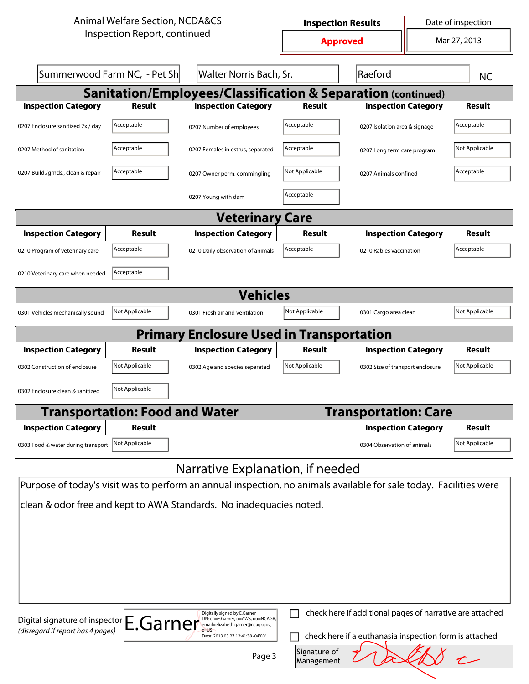| <b>Animal Welfare Section, NCDA&amp;CS</b>                                                  |                                                                                                                                                                                                                                                    | <b>Inspection Results</b>                                                                                          |                                    | Date of inspection               |  |                |  |  |
|---------------------------------------------------------------------------------------------|----------------------------------------------------------------------------------------------------------------------------------------------------------------------------------------------------------------------------------------------------|--------------------------------------------------------------------------------------------------------------------|------------------------------------|----------------------------------|--|----------------|--|--|
| Inspection Report, continued                                                                |                                                                                                                                                                                                                                                    | <b>Approved</b>                                                                                                    |                                    | Mar 27, 2013                     |  |                |  |  |
|                                                                                             | Summerwood Farm NC, - Pet Sh                                                                                                                                                                                                                       |                                                                                                                    | Walter Norris Bach, Sr.<br>Raeford |                                  |  | <b>NC</b>      |  |  |
|                                                                                             | <b>Sanitation/Employees/Classification &amp; Separation (continued)</b>                                                                                                                                                                            |                                                                                                                    |                                    |                                  |  |                |  |  |
| <b>Inspection Category</b>                                                                  | <b>Result</b>                                                                                                                                                                                                                                      | <b>Inspection Category</b>                                                                                         | Result                             | <b>Inspection Category</b>       |  | <b>Result</b>  |  |  |
| 0207 Enclosure sanitized 2x / day                                                           | Acceptable                                                                                                                                                                                                                                         | 0207 Number of employees                                                                                           | Acceptable                         | 0207 Isolation area & signage    |  | Acceptable     |  |  |
| 0207 Method of sanitation                                                                   | Acceptable                                                                                                                                                                                                                                         | 0207 Females in estrus, separated                                                                                  | Acceptable                         | 0207 Long term care program      |  | Not Applicable |  |  |
| 0207 Build./grnds., clean & repair                                                          | Acceptable                                                                                                                                                                                                                                         | 0207 Owner perm, commingling                                                                                       | Not Applicable                     | 0207 Animals confined            |  | Acceptable     |  |  |
|                                                                                             |                                                                                                                                                                                                                                                    | 0207 Young with dam                                                                                                | Acceptable                         |                                  |  |                |  |  |
|                                                                                             |                                                                                                                                                                                                                                                    | <b>Veterinary Care</b>                                                                                             |                                    |                                  |  |                |  |  |
| <b>Inspection Category</b>                                                                  | Result                                                                                                                                                                                                                                             | <b>Inspection Category</b>                                                                                         | Result                             | <b>Inspection Category</b>       |  | <b>Result</b>  |  |  |
| 0210 Program of veterinary care                                                             | Acceptable                                                                                                                                                                                                                                         | 0210 Daily observation of animals                                                                                  | Acceptable                         | 0210 Rabies vaccination          |  | Acceptable     |  |  |
| 0210 Veterinary care when needed                                                            | Acceptable                                                                                                                                                                                                                                         |                                                                                                                    |                                    |                                  |  |                |  |  |
|                                                                                             |                                                                                                                                                                                                                                                    | <b>Vehicles</b>                                                                                                    |                                    |                                  |  |                |  |  |
| 0301 Vehicles mechanically sound                                                            | Not Applicable                                                                                                                                                                                                                                     | 0301 Fresh air and ventilation                                                                                     | Not Applicable                     | 0301 Cargo area clean            |  | Not Applicable |  |  |
|                                                                                             |                                                                                                                                                                                                                                                    | <b>Primary Enclosure Used in Transportation</b>                                                                    |                                    |                                  |  |                |  |  |
| <b>Inspection Category</b>                                                                  | Result                                                                                                                                                                                                                                             | <b>Inspection Category</b>                                                                                         | Result                             | <b>Inspection Category</b>       |  | Result         |  |  |
| 0302 Construction of enclosure                                                              | Not Applicable                                                                                                                                                                                                                                     | 0302 Age and species separated                                                                                     | Not Applicable                     | 0302 Size of transport enclosure |  | Not Applicable |  |  |
| 0302 Enclosure clean & sanitized                                                            | Not Applicable                                                                                                                                                                                                                                     |                                                                                                                    |                                    |                                  |  |                |  |  |
|                                                                                             | <b>Transportation: Food and Water</b>                                                                                                                                                                                                              |                                                                                                                    |                                    | <b>Transportation: Care</b>      |  |                |  |  |
| <b>Inspection Category</b>                                                                  | <b>Result</b>                                                                                                                                                                                                                                      |                                                                                                                    |                                    | <b>Inspection Category</b>       |  | <b>Result</b>  |  |  |
| 0303 Food & water during transport                                                          | Not Applicable                                                                                                                                                                                                                                     |                                                                                                                    |                                    | 0304 Observation of animals      |  | Not Applicable |  |  |
|                                                                                             |                                                                                                                                                                                                                                                    | Narrative Explanation, if needed                                                                                   |                                    |                                  |  |                |  |  |
|                                                                                             |                                                                                                                                                                                                                                                    | Purpose of today's visit was to perform an annual inspection, no animals available for sale today. Facilities were |                                    |                                  |  |                |  |  |
| clean & odor free and kept to AWA Standards. No inadequacies noted.                         |                                                                                                                                                                                                                                                    |                                                                                                                    |                                    |                                  |  |                |  |  |
|                                                                                             |                                                                                                                                                                                                                                                    |                                                                                                                    |                                    |                                  |  |                |  |  |
|                                                                                             |                                                                                                                                                                                                                                                    |                                                                                                                    |                                    |                                  |  |                |  |  |
|                                                                                             |                                                                                                                                                                                                                                                    |                                                                                                                    |                                    |                                  |  |                |  |  |
|                                                                                             |                                                                                                                                                                                                                                                    |                                                                                                                    |                                    |                                  |  |                |  |  |
|                                                                                             |                                                                                                                                                                                                                                                    |                                                                                                                    |                                    |                                  |  |                |  |  |
|                                                                                             |                                                                                                                                                                                                                                                    |                                                                                                                    |                                    |                                  |  |                |  |  |
|                                                                                             | check here if additional pages of narrative are attached<br>Digitally signed by E.Garner<br>Digital signature of inspector E.Garner<br>DN: cn=E.Garner, o=AWS, ou=NCAGR,<br>email=elizabeth.garner@ncagr.gov,<br>(disregard if report has 4 pages) |                                                                                                                    |                                    |                                  |  |                |  |  |
| check here if a euthanasia inspection form is attached<br>Date: 2013.03.27 12:41:38 -04'00' |                                                                                                                                                                                                                                                    |                                                                                                                    |                                    |                                  |  |                |  |  |
|                                                                                             |                                                                                                                                                                                                                                                    | Page 3                                                                                                             | Signature of                       |                                  |  |                |  |  |